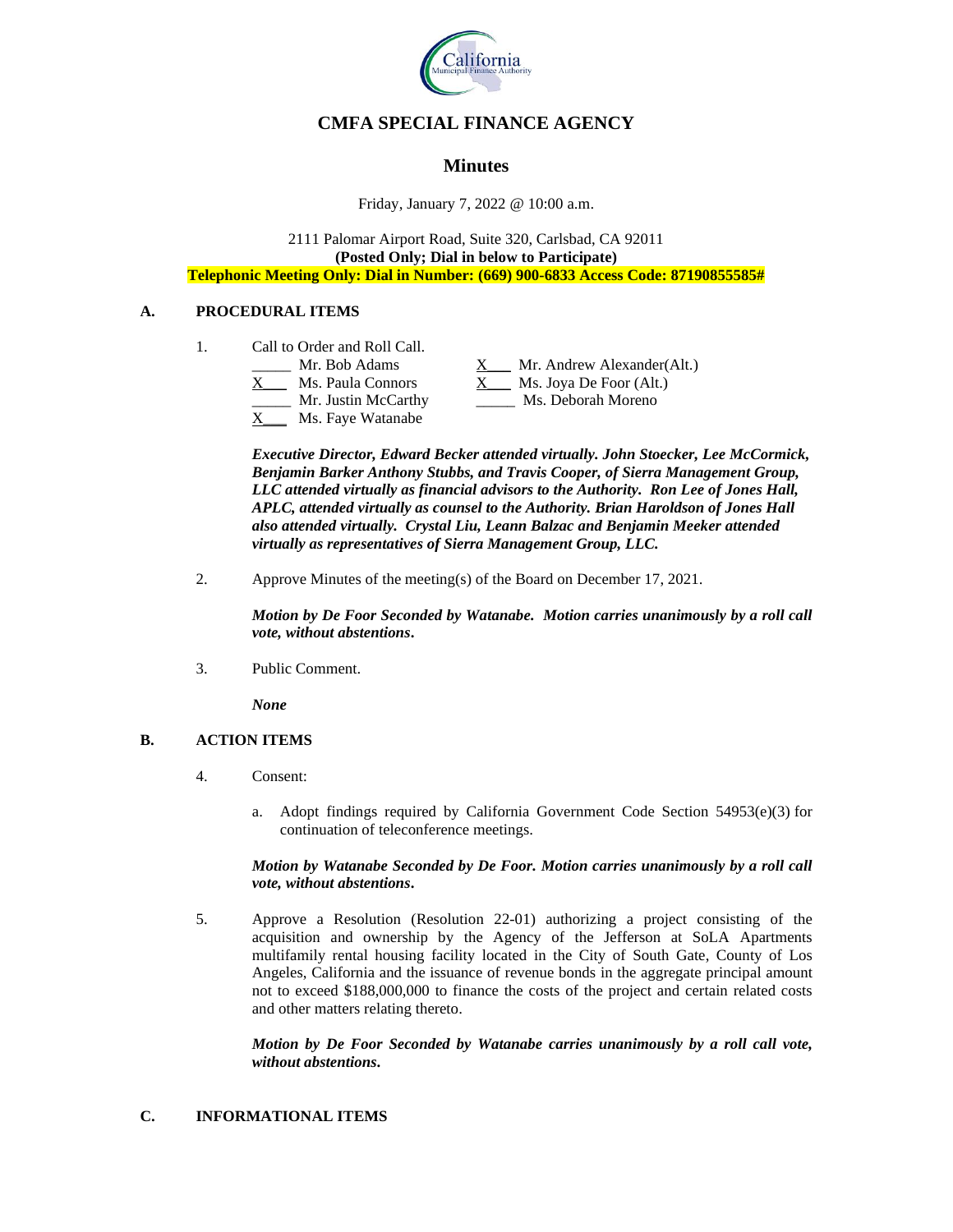

# **CMFA SPECIAL FINANCE AGENCY**

## **Minutes**

Friday, January 7, 2022 @ 10:00 a.m.

2111 Palomar Airport Road, Suite 320, Carlsbad, CA 92011 **(Posted Only; Dial in below to Participate) Telephonic Meeting Only: Dial in Number: (669) 900-6833 Access Code: 87190855585#**

#### **A. PROCEDURAL ITEMS**

1. Call to Order and Roll Call.

| Mr. Bob Adams       | Mr. Andrew Alexander(Alt.) |
|---------------------|----------------------------|
| Ms. Paula Connors   | Ms. Joya De Foor (Alt.)    |
| Mr. Justin McCarthy | Ms. Deborah Moreno         |
| Ms. Faye Watanabe   |                            |

*Executive Director, Edward Becker attended virtually. John Stoecker, Lee McCormick, Benjamin Barker Anthony Stubbs, and Travis Cooper, of Sierra Management Group, LLC attended virtually as financial advisors to the Authority. Ron Lee of Jones Hall, APLC, attended virtually as counsel to the Authority. Brian Haroldson of Jones Hall also attended virtually. Crystal Liu, Leann Balzac and Benjamin Meeker attended virtually as representatives of Sierra Management Group, LLC.*

2. Approve Minutes of the meeting(s) of the Board on December 17, 2021.

*Motion by De Foor Seconded by Watanabe. Motion carries unanimously by a roll call vote, without abstentions***.**

3. Public Comment.

*None*

### **B. ACTION ITEMS**

- 4. Consent:
	- a. Adopt findings required by California Government Code Section  $54953(e)(3)$  for continuation of teleconference meetings.

#### *Motion by Watanabe Seconded by De Foor. Motion carries unanimously by a roll call vote, without abstentions***.**

5. Approve a Resolution (Resolution 22-01) authorizing a project consisting of the acquisition and ownership by the Agency of the Jefferson at SoLA Apartments multifamily rental housing facility located in the City of South Gate, County of Los Angeles, California and the issuance of revenue bonds in the aggregate principal amount not to exceed \$188,000,000 to finance the costs of the project and certain related costs and other matters relating thereto.

*Motion by De Foor Seconded by Watanabe carries unanimously by a roll call vote, without abstentions***.**

#### **C. INFORMATIONAL ITEMS**